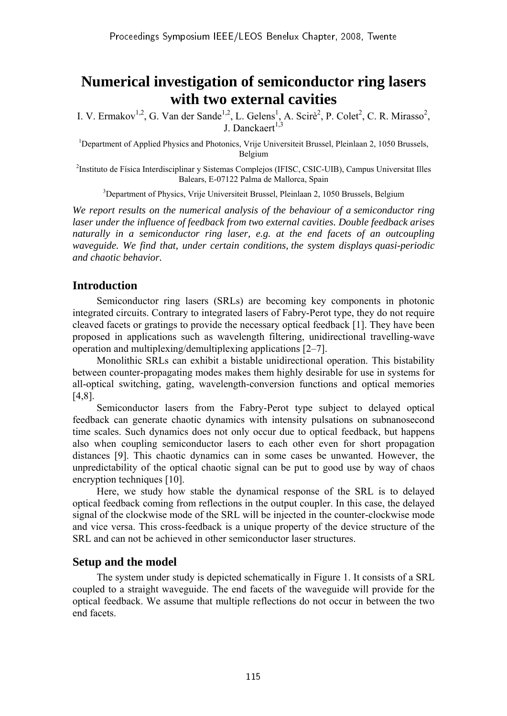# **Numerical investigation of semiconductor ring lasers with two external cavities**

I. V. Ermakov<sup>1,2</sup>, G. Van der Sande<sup>1,2</sup>, L. Gelens<sup>1</sup>, A. Scirè<sup>2</sup>, P. Colet<sup>2</sup>, C. R. Mirasso<sup>2</sup>, J. Danckaert<sup>1,3</sup>

<sup>1</sup>Department of Applied Physics and Photonics, Vrije Universiteit Brussel, Pleinlaan 2, 1050 Brussels, Belgium

2 Instituto de Física Interdisciplinar y Sistemas Complejos (IFISC, CSIC-UIB), Campus Universitat Illes Balears, E-07122 Palma de Mallorca, Spain

<sup>3</sup>Department of Physics, Vrije Universiteit Brussel, Pleinlaan 2, 1050 Brussels, Belgium

*We report results on the numerical analysis of the behaviour of a semiconductor ring laser under the influence of feedback from two external cavities. Double feedback arises naturally in a semiconductor ring laser, e.g. at the end facets of an outcoupling waveguide. We find that, under certain conditions, the system displays quasi-periodic and chaotic behavior.*

## **Introduction**

Semiconductor ring lasers (SRLs) are becoming key components in photonic integrated circuits. Contrary to integrated lasers of Fabry-Perot type, they do not require cleaved facets or gratings to provide the necessary optical feedback [1]. They have been proposed in applications such as wavelength filtering, unidirectional travelling-wave operation and multiplexing/demultiplexing applications [2–7].

Monolithic SRLs can exhibit a bistable unidirectional operation. This bistability between counter-propagating modes makes them highly desirable for use in systems for all-optical switching, gating, wavelength-conversion functions and optical memories [4,8].

Semiconductor lasers from the Fabry-Perot type subject to delayed optical feedback can generate chaotic dynamics with intensity pulsations on subnanosecond time scales. Such dynamics does not only occur due to optical feedback, but happens also when coupling semiconductor lasers to each other even for short propagation distances [9]. This chaotic dynamics can in some cases be unwanted. However, the unpredictability of the optical chaotic signal can be put to good use by way of chaos encryption techniques [10].

Here, we study how stable the dynamical response of the SRL is to delayed optical feedback coming from reflections in the output coupler. In this case, the delayed signal of the clockwise mode of the SRL will be injected in the counter-clockwise mode and vice versa. This cross-feedback is a unique property of the device structure of the SRL and can not be achieved in other semiconductor laser structures.

### **Setup and the model**

The system under study is depicted schematically in Figure 1. It consists of a SRL coupled to a straight waveguide. The end facets of the waveguide will provide for the optical feedback. We assume that multiple reflections do not occur in between the two end facets.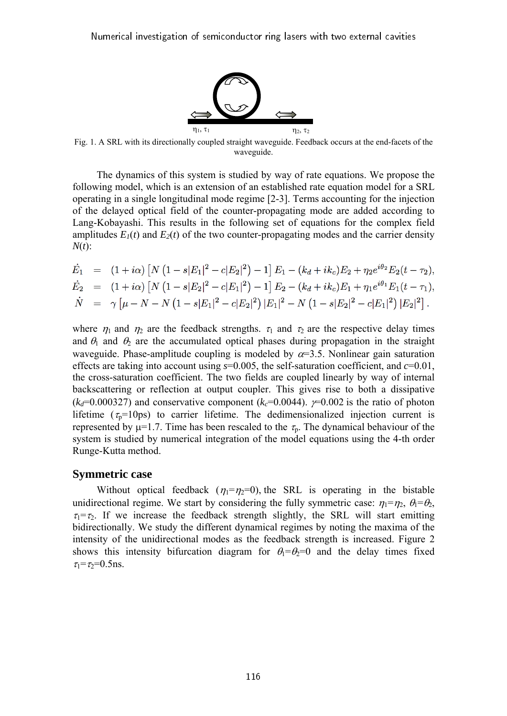

Fig. 1. A SRL with its directionally coupled straight waveguide. Feedback occurs at the end-facets of the waveguide.

The dynamics of this system is studied by way of rate equations. We propose the following model, which is an extension of an established rate equation model for a SRL operating in a single longitudinal mode regime [2-3]. Terms accounting for the injection of the delayed optical field of the counter-propagating mode are added according to Lang-Kobayashi. This results in the following set of equations for the complex field amplitudes  $E_1(t)$  and  $E_2(t)$  of the two counter-propagating modes and the carrier density *N*(*t*):

$$
\begin{array}{lll} \dot{E}_1&=&(1+i\alpha)\left[N\left(1-s|E_1|^2-c|E_2|^2\right)-1\right]E_1-(k_d+i k_c)E_2+\eta_2 e^{i\theta_2}E_2(t-\tau_2),\\ \dot{E}_2&=&(1+i\alpha)\left[N\left(1-s|E_2|^2-c|E_1|^2\right)-1\right]E_2-(k_d+i k_c)E_1+\eta_1 e^{i\theta_1}E_1(t-\tau_1),\\ \dot{N}&=&\gamma\left[\mu-N-N\left(1-s|E_1|^2-c|E_2|^2\right)|E_1|^2-N\left(1-s|E_2|^2-c|E_1|^2\right)|E_2|^2\right]. \end{array}
$$

where  $\eta_1$  and  $\eta_2$  are the feedback strengths.  $\tau_1$  and  $\tau_2$  are the respective delay times and  $\theta_1$  and  $\theta_2$  are the accumulated optical phases during propagation in the straight waveguide. Phase-amplitude coupling is modeled by  $\alpha=3.5$ . Nonlinear gain saturation effects are taking into account using *s*=0.005, the self-saturation coefficient, and *c*=0.01, the cross-saturation coefficient. The two fields are coupled linearly by way of internal backscattering or reflection at output coupler. This gives rise to both a dissipative  $(k_d=0.000327)$  and conservative component  $(k_c=0.0044)$ .  $\gamma=0.002$  is the ratio of photon lifetime ( $\tau_{p}=10\text{ps}$ ) to carrier lifetime. The dedimensionalized injection current is represented by  $\mu$ =1.7. Time has been rescaled to the  $\tau_p$ . The dynamical behaviour of the system is studied by numerical integration of the model equations using the 4-th order Runge-Kutta method.

#### **Symmetric case**

Without optical feedback  $(\eta_1 = \eta_2 = 0)$ , the SRL is operating in the bistable unidirectional regime. We start by considering the fully symmetric case:  $\eta_1 = \eta_2$ ,  $\theta_1 = \theta_2$ ,  $\tau_1 = \tau_2$ . If we increase the feedback strength slightly, the SRL will start emitting bidirectionally. We study the different dynamical regimes by noting the maxima of the intensity of the unidirectional modes as the feedback strength is increased. Figure 2 shows this intensity bifurcation diagram for  $\theta_1 = \theta_2 = 0$  and the delay times fixed  $\tau_1 = \tau_2 = 0.5$ ns.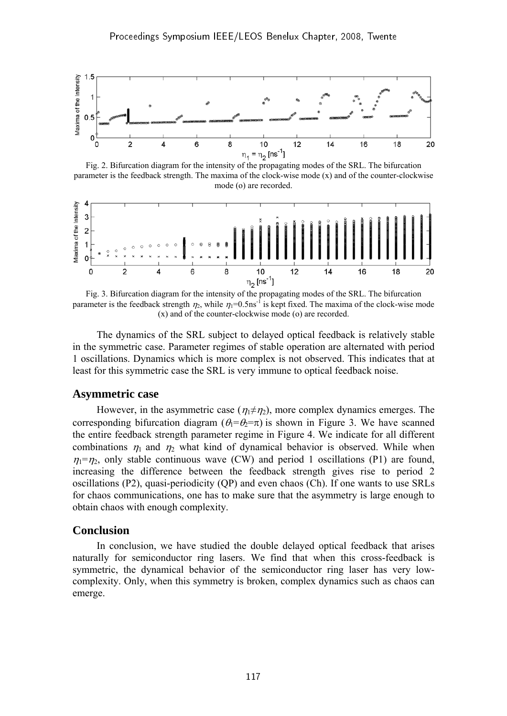

Fig. 2. Bifurcation diagram for the intensity of the propagating modes of the SRL. The bifurcation parameter is the feedback strength. The maxima of the clock-wise mode (x) and of the counter-clockwise mode (o) are recorded.



Fig. 3. Bifurcation diagram for the intensity of the propagating modes of the SRL. The bifurcation parameter is the feedback strength  $\eta_2$ , while  $\eta_1=0.5$ ns<sup>-1</sup> is kept fixed. The maxima of the clock-wise mode (x) and of the counter-clockwise mode (o) are recorded.

The dynamics of the SRL subject to delayed optical feedback is relatively stable in the symmetric case. Parameter regimes of stable operation are alternated with period 1 oscillations. Dynamics which is more complex is not observed. This indicates that at least for this symmetric case the SRL is very immune to optical feedback noise.

#### **Asymmetric case**

However, in the asymmetric case  $(\eta_1 \neq \eta_2)$ , more complex dynamics emerges. The corresponding bifurcation diagram ( $\theta_1 = \theta_2 = \pi$ ) is shown in Figure 3. We have scanned the entire feedback strength parameter regime in Figure 4. We indicate for all different combinations  $\eta_1$  and  $\eta_2$  what kind of dynamical behavior is observed. While when  $\eta_1 = \eta_2$ , only stable continuous wave (CW) and period 1 oscillations (P1) are found, increasing the difference between the feedback strength gives rise to period 2 oscillations (P2), quasi-periodicity (QP) and even chaos (Ch). If one wants to use SRLs for chaos communications, one has to make sure that the asymmetry is large enough to obtain chaos with enough complexity.

#### **Conclusion**

In conclusion, we have studied the double delayed optical feedback that arises naturally for semiconductor ring lasers. We find that when this cross-feedback is symmetric, the dynamical behavior of the semiconductor ring laser has very lowcomplexity. Only, when this symmetry is broken, complex dynamics such as chaos can emerge.